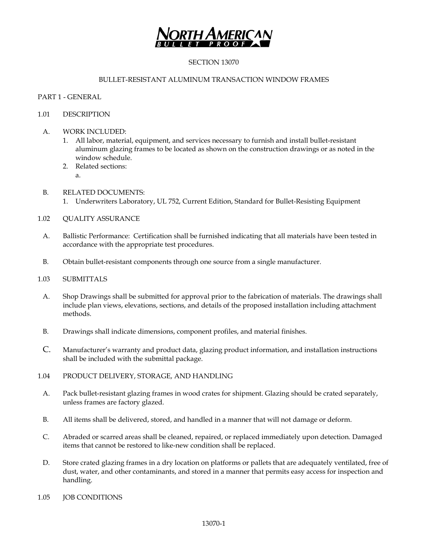

# SECTION 13070

### BULLET-RESISTANT ALUMINUM TRANSACTION WINDOW FRAMES

### PART 1 - GENERAL

### 1.01 DESCRIPTION

- A. WORK INCLUDED:
	- 1. All labor, material, equipment, and services necessary to furnish and install bullet-resistant aluminum glazing frames to be located as shown on the construction drawings or as noted in the window schedule.
	- 2. Related sections: a.
- B. RELATED DOCUMENTS:
	- 1. Underwriters Laboratory, UL 752, Current Edition, Standard for Bullet-Resisting Equipment
- 1.02 QUALITY ASSURANCE
	- A. Ballistic Performance: Certification shall be furnished indicating that all materials have been tested in accordance with the appropriate test procedures.
	- B. Obtain bullet-resistant components through one source from a single manufacturer.

#### 1.03 SUBMITTALS

- A. Shop Drawings shall be submitted for approval prior to the fabrication of materials. The drawings shall include plan views, elevations, sections, and details of the proposed installation including attachment methods.
- B. Drawings shall indicate dimensions, component profiles, and material finishes.
- C. Manufacturer's warranty and product data, glazing product information, and installation instructions shall be included with the submittal package.
- 1.04 PRODUCT DELIVERY, STORAGE, AND HANDLING
	- A. Pack bullet-resistant glazing frames in wood crates for shipment. Glazing should be crated separately, unless frames are factory glazed.
	- B. All items shall be delivered, stored, and handled in a manner that will not damage or deform.
	- C. Abraded or scarred areas shall be cleaned, repaired, or replaced immediately upon detection. Damaged items that cannot be restored to like-new condition shall be replaced.
	- D. Store crated glazing frames in a dry location on platforms or pallets that are adequately ventilated, free of dust, water, and other contaminants, and stored in a manner that permits easy access for inspection and handling.
- 1.05 **JOB CONDITIONS**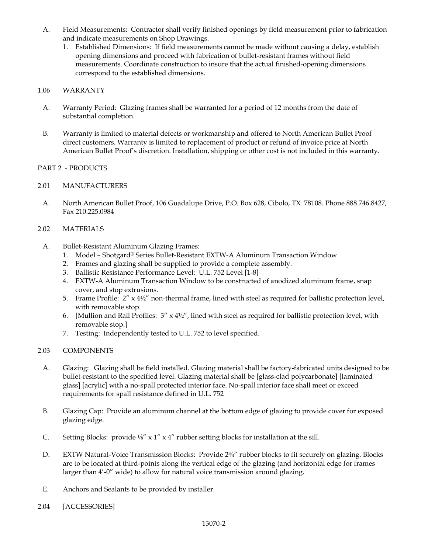- A. Field Measurements: Contractor shall verify finished openings by field measurement prior to fabrication and indicate measurements on Shop Drawings.
	- 1. Established Dimensions: If field measurements cannot be made without causing a delay, establish opening dimensions and proceed with fabrication of bullet-resistant frames without field measurements. Coordinate construction to insure that the actual finished-opening dimensions correspond to the established dimensions.

# 1.06 WARRANTY

- A. Warranty Period: Glazing frames shall be warranted for a period of 12 months from the date of substantial completion.
- B. Warranty is limited to material defects or workmanship and offered to North American Bullet Proof direct customers. Warranty is limited to replacement of product or refund of invoice price at North American Bullet Proof's discretion. Installation, shipping or other cost is not included in this warranty.

# PART 2 - PRODUCTS

# 2.01 MANUFACTURERS

A. North American Bullet Proof, 106 Guadalupe Drive, P.O. Box 628, Cibolo, TX 78108. Phone 888.746.8427, Fax 210.225.0984

# 2.02 MATERIALS

- A. Bullet-Resistant Aluminum Glazing Frames:
	- 1. Model Shotgard® Series Bullet-Resistant EXTW-A Aluminum Transaction Window
	- 2. Frames and glazing shall be supplied to provide a complete assembly.
	- 3. Ballistic Resistance Performance Level: U.L. 752 Level [1-8]
	- 4. EXTW-A Aluminum Transaction Window to be constructed of anodized aluminum frame, snap cover, and stop extrusions.
	- 5. Frame Profile:  $2'' \times 4\frac{1}{2}$  non-thermal frame, lined with steel as required for ballistic protection level, with removable stop.
	- 6. [Mullion and Rail Profiles:  $3'' \times 4\frac{1}{2}$ , lined with steel as required for ballistic protection level, with removable stop.]
	- 7. Testing: Independently tested to U.L. 752 to level specified.

# 2.03 COMPONENTS

- A. Glazing: Glazing shall be field installed. Glazing material shall be factory-fabricated units designed to be bullet-resistant to the specified level. Glazing material shall be [glass-clad polycarbonate] [laminated glass] [acrylic] with a no-spall protected interior face. No-spall interior face shall meet or exceed requirements for spall resistance defined in U.L. 752
- B. Glazing Cap: Provide an aluminum channel at the bottom edge of glazing to provide cover for exposed glazing edge.
- C. Setting Blocks: provide ⅛" x 1" x 4" rubber setting blocks for installation at the sill.
- D. EXTW Natural-Voice Transmission Blocks: Provide 2¾" rubber blocks to fit securely on glazing. Blocks are to be located at third-points along the vertical edge of the glazing (and horizontal edge for frames larger than 4'-0" wide) to allow for natural voice transmission around glazing.
- E. Anchors and Sealants to be provided by installer.
- 2.04 [ACCESSORIES]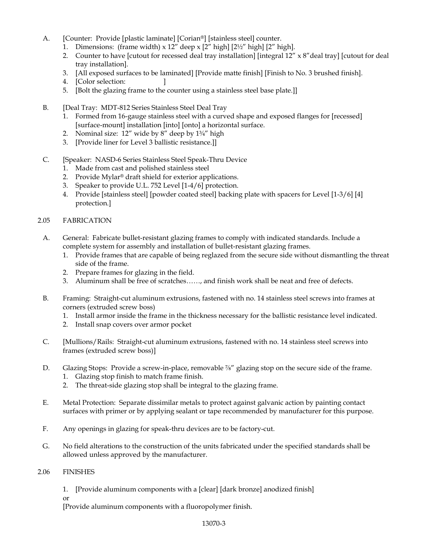- A. [Counter: Provide [plastic laminate] [Corian®] [stainless steel] counter.
	- 1. Dimensions: (frame width)  $x$  12" deep  $x$  [2" high] [2½" high] [2" high].
	- 2. Counter to have [cutout for recessed deal tray installation] [integral  $12'' \times 8''$  deal tray] [cutout for deal tray installation].
	- 3. [All exposed surfaces to be laminated] [Provide matte finish] [Finish to No. 3 brushed finish].
	- 4. [Color selection: ]
	- 5. [Bolt the glazing frame to the counter using a stainless steel base plate.]]
- B. [Deal Tray: MDT-812 Series Stainless Steel Deal Tray
	- 1. Formed from 16-gauge stainless steel with a curved shape and exposed flanges for [recessed] [surface-mount] installation [into] [onto] a horizontal surface.
	- 2. Nominal size: 12" wide by 8" deep by 1<sup>3/4"</sup> high
	- 3. [Provide liner for Level 3 ballistic resistance.]]
- C. [Speaker: NASD-6 Series Stainless Steel Speak-Thru Device
	- 1. Made from cast and polished stainless steel
	- 2. Provide Mylar® draft shield for exterior applications.
	- 3. Speaker to provide U.L. 752 Level [1-4/6] protection.
	- 4. Provide [stainless steel] [powder coated steel] backing plate with spacers for Level [1-3/6] [4] protection.]

#### 2.05 FABRICATION

- A. General: Fabricate bullet-resistant glazing frames to comply with indicated standards. Include a complete system for assembly and installation of bullet-resistant glazing frames.
	- 1. Provide frames that are capable of being reglazed from the secure side without dismantling the threat side of the frame.
	- 2. Prepare frames for glazing in the field.
	- 3. Aluminum shall be free of scratches……, and finish work shall be neat and free of defects.
- B. Framing: Straight-cut aluminum extrusions, fastened with no. 14 stainless steel screws into frames at corners (extruded screw boss)
	- 1. Install armor inside the frame in the thickness necessary for the ballistic resistance level indicated.
	- 2. Install snap covers over armor pocket
- C. [Mullions/Rails: Straight-cut aluminum extrusions, fastened with no. 14 stainless steel screws into frames (extruded screw boss)]
- D. Glazing Stops: Provide a screw-in-place, removable <sup>7</sup>/<sub>8</sub>" glazing stop on the secure side of the frame.
	- 1. Glazing stop finish to match frame finish.
	- 2. The threat-side glazing stop shall be integral to the glazing frame.
- E. Metal Protection: Separate dissimilar metals to protect against galvanic action by painting contact surfaces with primer or by applying sealant or tape recommended by manufacturer for this purpose.
- F. Any openings in glazing for speak-thru devices are to be factory-cut.
- G. No field alterations to the construction of the units fabricated under the specified standards shall be allowed unless approved by the manufacturer.

#### 2.06 FINISHES

1. [Provide aluminum components with a [clear] [dark bronze] anodized finish]

or

[Provide aluminum components with a fluoropolymer finish.

#### 13070-3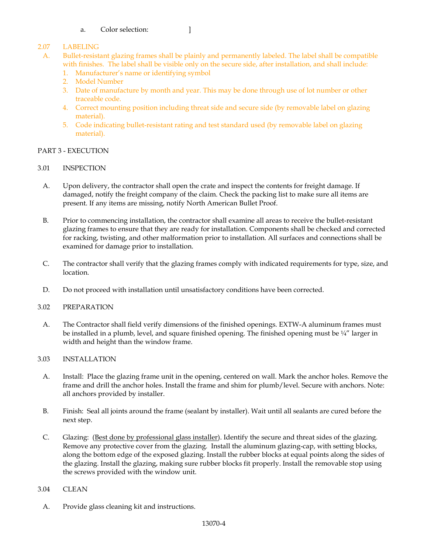### a. Color selection: [150]

# 2.07 LABELING

- A. Bullet-resistant glazing frames shall be plainly and permanently labeled. The label shall be compatible with finishes. The label shall be visible only on the secure side, after installation, and shall include:
	- 1. Manufacturer's name or identifying symbol
	- 2. Model Number
	- 3. Date of manufacture by month and year. This may be done through use of lot number or other traceable code.
	- 4. Correct mounting position including threat side and secure side (by removable label on glazing material).
	- 5. Code indicating bullet-resistant rating and test standard used (by removable label on glazing material).

# PART 3 - EXECUTION

- 3.01 INSPECTION
	- A. Upon delivery, the contractor shall open the crate and inspect the contents for freight damage. If damaged, notify the freight company of the claim. Check the packing list to make sure all items are present. If any items are missing, notify North American Bullet Proof.
	- B. Prior to commencing installation, the contractor shall examine all areas to receive the bullet-resistant glazing frames to ensure that they are ready for installation. Components shall be checked and corrected for racking, twisting, and other malformation prior to installation. All surfaces and connections shall be examined for damage prior to installation.
	- C. The contractor shall verify that the glazing frames comply with indicated requirements for type, size, and location.
- D. Do not proceed with installation until unsatisfactory conditions have been corrected.

# 3.02 PREPARATION

A. The Contractor shall field verify dimensions of the finished openings. EXTW-A aluminum frames must be installed in a plumb, level, and square finished opening. The finished opening must be  $\frac{1}{4}$ " larger in width and height than the window frame.

# 3.03 INSTALLATION

- A. Install: Place the glazing frame unit in the opening, centered on wall. Mark the anchor holes. Remove the frame and drill the anchor holes. Install the frame and shim for plumb/level. Secure with anchors. Note: all anchors provided by installer.
- B. Finish: Seal all joints around the frame (sealant by installer). Wait until all sealants are cured before the next step.
- C. Glazing: (Best done by professional glass installer). Identify the secure and threat sides of the glazing. Remove any protective cover from the glazing. Install the aluminum glazing-cap, with setting blocks, along the bottom edge of the exposed glazing. Install the rubber blocks at equal points along the sides of the glazing. Install the glazing, making sure rubber blocks fit properly. Install the removable stop using the screws provided with the window unit.

#### 3.04 CLEAN

A. Provide glass cleaning kit and instructions.